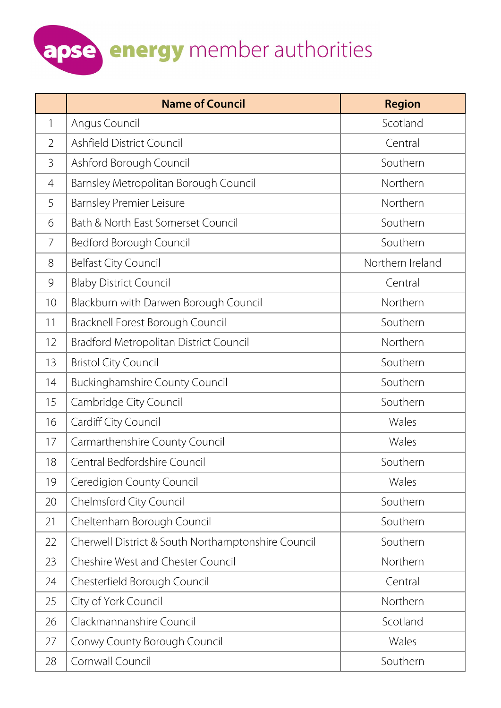|                | <b>Name of Council</b>                             | <b>Region</b>    |
|----------------|----------------------------------------------------|------------------|
| 1              | Angus Council                                      | Scotland         |
| $\overline{2}$ | Ashfield District Council                          | Central          |
| 3              | Ashford Borough Council                            | Southern         |
| 4              | Barnsley Metropolitan Borough Council              | Northern         |
| 5              | <b>Barnsley Premier Leisure</b>                    | Northern         |
| 6              | Bath & North East Somerset Council                 | Southern         |
| 7              | Bedford Borough Council                            | Southern         |
| 8              | <b>Belfast City Council</b>                        | Northern Ireland |
| 9              | <b>Blaby District Council</b>                      | Central          |
| 10             | Blackburn with Darwen Borough Council              | Northern         |
| 11             | Bracknell Forest Borough Council                   | Southern         |
| 12             | Bradford Metropolitan District Council             | Northern         |
| 13             | <b>Bristol City Council</b>                        | Southern         |
| 14             | <b>Buckinghamshire County Council</b>              | Southern         |
| 15             | Cambridge City Council                             | Southern         |
| 16             | Cardiff City Council                               | Wales            |
| 17             | Carmarthenshire County Council                     | Wales            |
| 18             | Central Bedfordshire Council                       | Southern         |
| 19             | Ceredigion County Council                          | Wales            |
| 20             | Chelmsford City Council                            | Southern         |
| 21             | Cheltenham Borough Council                         | Southern         |
| 22             | Cherwell District & South Northamptonshire Council | Southern         |
| 23             | <b>Cheshire West and Chester Council</b>           | Northern         |
| 24             | Chesterfield Borough Council                       | Central          |
| 25             | City of York Council                               | Northern         |
| 26             | Clackmannanshire Council                           | Scotland         |
| 27             | Conwy County Borough Council                       | Wales            |
| 28             | Cornwall Council                                   | Southern         |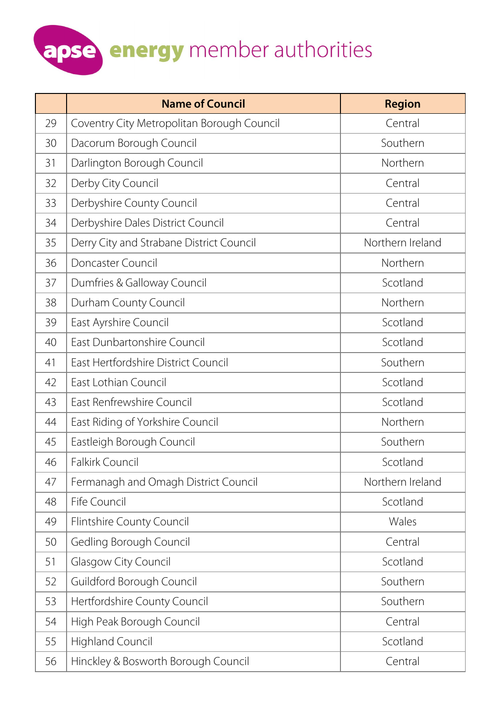|    | <b>Name of Council</b>                     | <b>Region</b>    |
|----|--------------------------------------------|------------------|
| 29 | Coventry City Metropolitan Borough Council | Central          |
| 30 | Dacorum Borough Council                    | Southern         |
| 31 | Darlington Borough Council                 | Northern         |
| 32 | Derby City Council                         | Central          |
| 33 | Derbyshire County Council                  | Central          |
| 34 | Derbyshire Dales District Council          | Central          |
| 35 | Derry City and Strabane District Council   | Northern Ireland |
| 36 | Doncaster Council                          | Northern         |
| 37 | Dumfries & Galloway Council                | Scotland         |
| 38 | Durham County Council                      | Northern         |
| 39 | East Ayrshire Council                      | Scotland         |
| 40 | East Dunbartonshire Council                | Scotland         |
| 41 | East Hertfordshire District Council        | Southern         |
| 42 | East Lothian Council                       | Scotland         |
| 43 | East Renfrewshire Council                  | Scotland         |
| 44 | East Riding of Yorkshire Council           | Northern         |
| 45 | Eastleigh Borough Council                  | Southern         |
| 46 | <b>Falkirk Council</b>                     | Scotland         |
| 47 | Fermanagh and Omagh District Council       | Northern Ireland |
| 48 | Fife Council                               | Scotland         |
| 49 | Flintshire County Council                  | Wales            |
| 50 | Gedling Borough Council                    | Central          |
| 51 | <b>Glasgow City Council</b>                | Scotland         |
| 52 | Guildford Borough Council                  | Southern         |
| 53 | Hertfordshire County Council               | Southern         |
| 54 | High Peak Borough Council                  | Central          |
| 55 | <b>Highland Council</b>                    | Scotland         |
| 56 | Hinckley & Bosworth Borough Council        | Central          |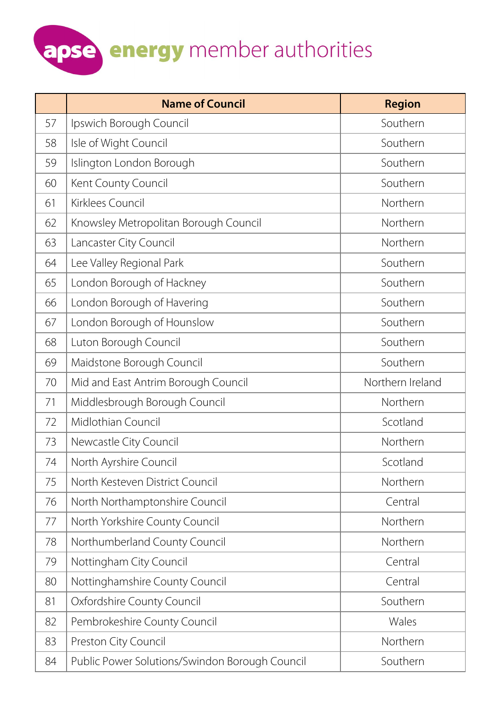|    | <b>Name of Council</b>                         | <b>Region</b>    |
|----|------------------------------------------------|------------------|
| 57 | Ipswich Borough Council                        | Southern         |
| 58 | Isle of Wight Council                          | Southern         |
| 59 | Islington London Borough                       | Southern         |
| 60 | Kent County Council                            | Southern         |
| 61 | Kirklees Council                               | Northern         |
| 62 | Knowsley Metropolitan Borough Council          | Northern         |
| 63 | Lancaster City Council                         | Northern         |
| 64 | Lee Valley Regional Park                       | Southern         |
| 65 | London Borough of Hackney                      | Southern         |
| 66 | London Borough of Havering                     | Southern         |
| 67 | London Borough of Hounslow                     | Southern         |
| 68 | Luton Borough Council                          | Southern         |
| 69 | Maidstone Borough Council                      | Southern         |
| 70 | Mid and East Antrim Borough Council            | Northern Ireland |
| 71 | Middlesbrough Borough Council                  | Northern         |
| 72 | Midlothian Council                             | Scotland         |
| 73 | Newcastle City Council                         | Northern         |
| 74 | North Ayrshire Council                         | Scotland         |
| 75 | North Kesteven District Council                | Northern         |
| 76 | North Northamptonshire Council                 | Central          |
| 77 | North Yorkshire County Council                 | Northern         |
| 78 | Northumberland County Council                  | Northern         |
| 79 | Nottingham City Council                        | Central          |
| 80 | Nottinghamshire County Council                 | Central          |
| 81 | Oxfordshire County Council                     | Southern         |
| 82 | Pembrokeshire County Council                   | Wales            |
| 83 | Preston City Council                           | Northern         |
| 84 | Public Power Solutions/Swindon Borough Council | Southern         |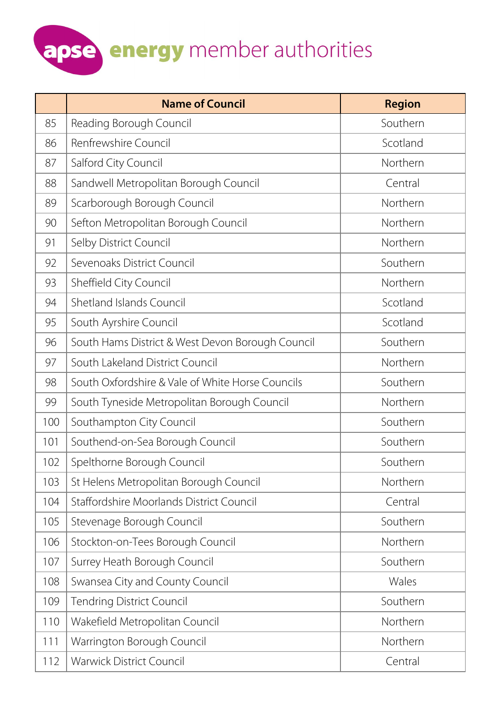|     | <b>Name of Council</b>                           | <b>Region</b> |
|-----|--------------------------------------------------|---------------|
| 85  | Reading Borough Council                          | Southern      |
| 86  | Renfrewshire Council                             | Scotland      |
| 87  | Salford City Council                             | Northern      |
| 88  | Sandwell Metropolitan Borough Council            | Central       |
| 89  | Scarborough Borough Council                      | Northern      |
| 90  | Sefton Metropolitan Borough Council              | Northern      |
| 91  | Selby District Council                           | Northern      |
| 92  | Sevenoaks District Council                       | Southern      |
| 93  | Sheffield City Council                           | Northern      |
| 94  | Shetland Islands Council                         | Scotland      |
| 95  | South Ayrshire Council                           | Scotland      |
| 96  | South Hams District & West Devon Borough Council | Southern      |
| 97  | South Lakeland District Council                  | Northern      |
| 98  | South Oxfordshire & Vale of White Horse Councils | Southern      |
| 99  | South Tyneside Metropolitan Borough Council      | Northern      |
| 100 | Southampton City Council                         | Southern      |
| 101 | Southend-on-Sea Borough Council                  | Southern      |
| 102 | Spelthorne Borough Council                       | Southern      |
| 103 | St Helens Metropolitan Borough Council           | Northern      |
| 104 | Staffordshire Moorlands District Council         | Central       |
| 105 | Stevenage Borough Council                        | Southern      |
| 106 | Stockton-on-Tees Borough Council                 | Northern      |
| 107 | Surrey Heath Borough Council                     | Southern      |
| 108 | Swansea City and County Council                  | Wales         |
| 109 | <b>Tendring District Council</b>                 | Southern      |
| 110 | Wakefield Metropolitan Council                   | Northern      |
| 111 | Warrington Borough Council                       | Northern      |
| 112 | <b>Warwick District Council</b>                  | Central       |